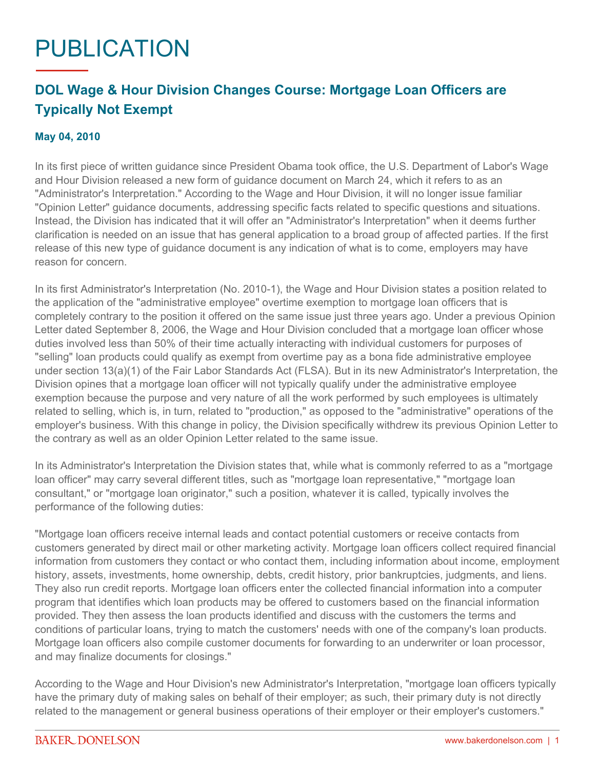## PUBLICATION

## **DOL Wage & Hour Division Changes Course: Mortgage Loan Officers are Typically Not Exempt**

## **May 04, 2010**

In its first piece of written guidance since President Obama took office, the U.S. Department of Labor's Wage and Hour Division released a new form of guidance document on March 24, which it refers to as an "Administrator's Interpretation." According to the Wage and Hour Division, it will no longer issue familiar "Opinion Letter" guidance documents, addressing specific facts related to specific questions and situations. Instead, the Division has indicated that it will offer an "Administrator's Interpretation" when it deems further clarification is needed on an issue that has general application to a broad group of affected parties. If the first release of this new type of guidance document is any indication of what is to come, employers may have reason for concern.

In its first Administrator's Interpretation (No. 2010-1), the Wage and Hour Division states a position related to the application of the "administrative employee" overtime exemption to mortgage loan officers that is completely contrary to the position it offered on the same issue just three years ago. Under a previous Opinion Letter dated September 8, 2006, the Wage and Hour Division concluded that a mortgage loan officer whose duties involved less than 50% of their time actually interacting with individual customers for purposes of "selling" loan products could qualify as exempt from overtime pay as a bona fide administrative employee under section 13(a)(1) of the Fair Labor Standards Act (FLSA). But in its new Administrator's Interpretation, the Division opines that a mortgage loan officer will not typically qualify under the administrative employee exemption because the purpose and very nature of all the work performed by such employees is ultimately related to selling, which is, in turn, related to "production," as opposed to the "administrative" operations of the employer's business. With this change in policy, the Division specifically withdrew its previous Opinion Letter to the contrary as well as an older Opinion Letter related to the same issue.

In its Administrator's Interpretation the Division states that, while what is commonly referred to as a "mortgage loan officer" may carry several different titles, such as "mortgage loan representative," "mortgage loan consultant," or "mortgage loan originator," such a position, whatever it is called, typically involves the performance of the following duties:

"Mortgage loan officers receive internal leads and contact potential customers or receive contacts from customers generated by direct mail or other marketing activity. Mortgage loan officers collect required financial information from customers they contact or who contact them, including information about income, employment history, assets, investments, home ownership, debts, credit history, prior bankruptcies, judgments, and liens. They also run credit reports. Mortgage loan officers enter the collected financial information into a computer program that identifies which loan products may be offered to customers based on the financial information provided. They then assess the loan products identified and discuss with the customers the terms and conditions of particular loans, trying to match the customers' needs with one of the company's loan products. Mortgage loan officers also compile customer documents for forwarding to an underwriter or loan processor, and may finalize documents for closings."

According to the Wage and Hour Division's new Administrator's Interpretation, "mortgage loan officers typically have the primary duty of making sales on behalf of their employer; as such, their primary duty is not directly related to the management or general business operations of their employer or their employer's customers."